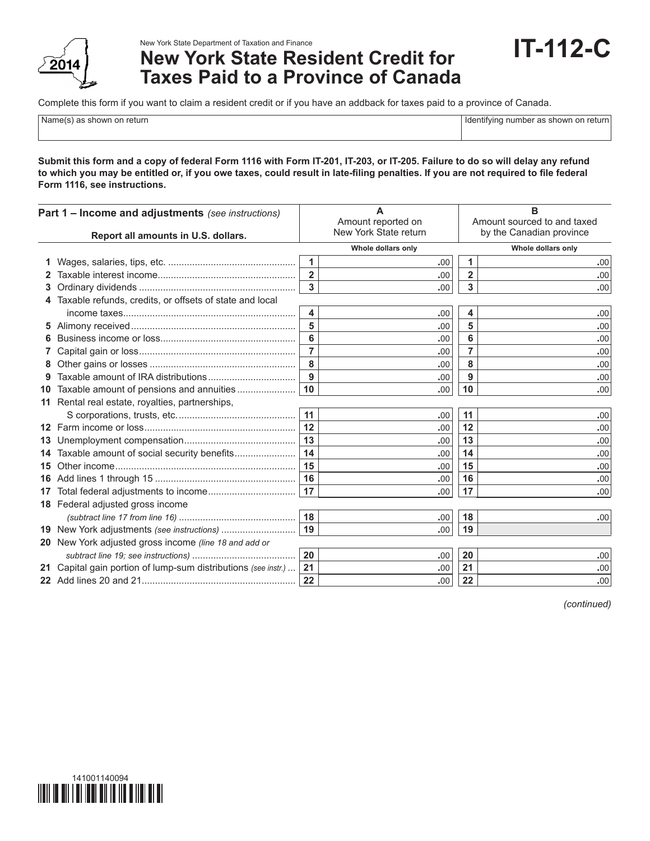

## New York State Department of Taxation and Finance

## **New York State Resident Credit for Taxes Paid to a Province of Canada**

Complete this form if you want to claim a resident credit or if you have an addback for taxes paid to a province of Canada.

Name(s) as shown on return in the state of the state of the state of the state of the state of the state of the state of the state of the state of the state of the state of the state of the state of the state of the state

**IT-112-C**

**Submit this form and a copy of federal Form 1116 with Form IT-201, IT-203, or IT-205. Failure to do so will delay any refund to which you may be entitled or, if you owe taxes, could result in late-filing penalties. If you are not required to file federal Form 1116, see instructions.**

| Part 1 - Income and adjustments (see instructions)<br>Report all amounts in U.S. dollars. |                                                                | A<br>Amount reported on<br>New York State return |                    | B<br>Amount sourced to and taxed<br>by the Canadian province |                    |  |
|-------------------------------------------------------------------------------------------|----------------------------------------------------------------|--------------------------------------------------|--------------------|--------------------------------------------------------------|--------------------|--|
|                                                                                           |                                                                |                                                  | Whole dollars only |                                                              | Whole dollars only |  |
|                                                                                           |                                                                | $\mathbf{1}$                                     | .00                | 1                                                            | .00                |  |
|                                                                                           |                                                                | $\overline{2}$                                   | .00                | $\overline{2}$                                               | .00                |  |
| 3                                                                                         |                                                                | 3                                                | .00                | 3                                                            | .00                |  |
|                                                                                           | 4 Taxable refunds, credits, or offsets of state and local      |                                                  |                    |                                                              |                    |  |
|                                                                                           |                                                                | 4                                                | .00                | 4                                                            | .00                |  |
|                                                                                           |                                                                | 5                                                | .00                | 5                                                            | .00                |  |
|                                                                                           |                                                                | 6                                                | .00                | 6                                                            | .00                |  |
|                                                                                           |                                                                | $\overline{7}$                                   | .00                | 7                                                            | .00                |  |
|                                                                                           |                                                                | 8                                                | .00                | 8                                                            | .00                |  |
|                                                                                           |                                                                | $\overline{9}$                                   | .00                | 9                                                            | .00                |  |
|                                                                                           | 10 Taxable amount of pensions and annuities                    | 10                                               | .00                | 10                                                           | .00                |  |
|                                                                                           | 11 Rental real estate, royalties, partnerships,                |                                                  |                    |                                                              |                    |  |
|                                                                                           |                                                                | 11                                               | .00                | 11                                                           | .00                |  |
|                                                                                           |                                                                | 12                                               | .00                | 12                                                           | .00                |  |
| 13                                                                                        |                                                                | 13                                               | .00                | 13                                                           | .00                |  |
| 14.                                                                                       | Taxable amount of social security benefits                     | 14                                               | .00                | 14                                                           | .00                |  |
| 15                                                                                        |                                                                | 15                                               | .00                | 15                                                           | .00                |  |
|                                                                                           |                                                                | 16                                               | .00                | 16                                                           | .00                |  |
| 17                                                                                        |                                                                | 17                                               | .00                | 17                                                           | .00                |  |
|                                                                                           | 18 Federal adjusted gross income                               |                                                  |                    |                                                              |                    |  |
|                                                                                           |                                                                | 18                                               | .00                | 18                                                           | .00                |  |
|                                                                                           | 19 New York adjustments (see instructions)                     | 19                                               | .00                | 19                                                           |                    |  |
|                                                                                           | 20 New York adjusted gross income (line 18 and add or          |                                                  |                    |                                                              |                    |  |
|                                                                                           |                                                                | 20                                               | .00                | 20                                                           | .00                |  |
|                                                                                           | 21 Capital gain portion of lump-sum distributions (see instr.) | 21                                               | .00                | 21                                                           | .00                |  |
|                                                                                           |                                                                | 22                                               | .00                | 22                                                           | .00                |  |

*(continued)*

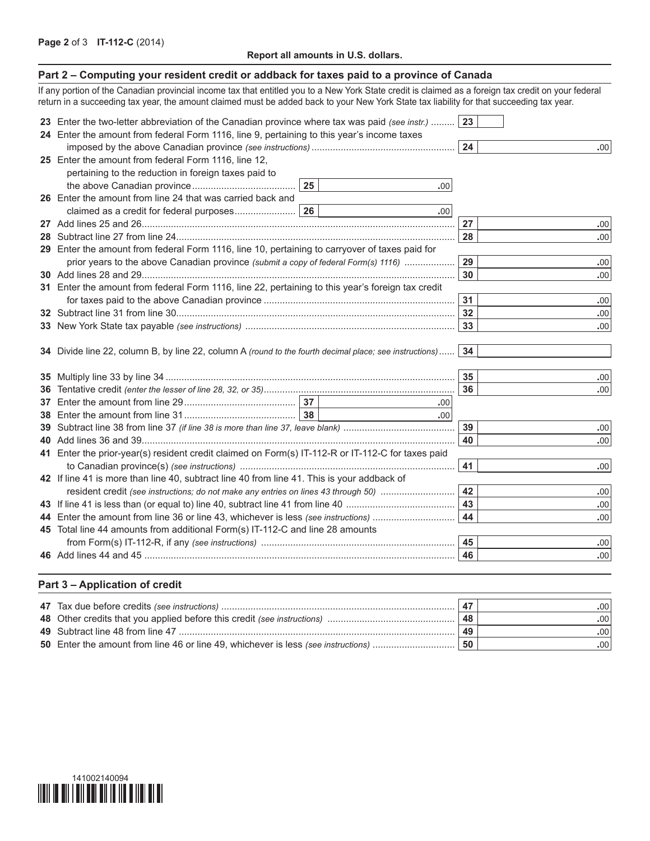## **Report all amounts in U.S. dollars.**

| Part 2 – Computing your resident credit or addback for taxes paid to a province of Canada                                                            |    |     |    |                  |
|------------------------------------------------------------------------------------------------------------------------------------------------------|----|-----|----|------------------|
| If any portion of the Canadian provincial income tax that entitled you to a New York State credit is claimed as a foreign tax credit on your federal |    |     |    |                  |
| return in a succeeding tax year, the amount claimed must be added back to your New York State tax liability for that succeeding tax year.            |    |     |    |                  |
| 23 Enter the two-letter abbreviation of the Canadian province where tax was paid (see instr.)                                                        |    |     | 23 |                  |
| 24 Enter the amount from federal Form 1116, line 9, pertaining to this year's income taxes                                                           |    |     |    |                  |
|                                                                                                                                                      |    |     | 24 | .00              |
| 25 Enter the amount from federal Form 1116, line 12,                                                                                                 |    |     |    |                  |
| pertaining to the reduction in foreign taxes paid to                                                                                                 |    |     |    |                  |
|                                                                                                                                                      | 25 | .00 |    |                  |
| 26 Enter the amount from line 24 that was carried back and                                                                                           |    |     |    |                  |
|                                                                                                                                                      |    | .00 |    |                  |
|                                                                                                                                                      |    |     | 27 | .00 <sub>1</sub> |
|                                                                                                                                                      |    |     | 28 | .00              |
| 29 Enter the amount from federal Form 1116, line 10, pertaining to carryover of taxes paid for                                                       |    |     |    |                  |
| prior years to the above Canadian province (submit a copy of federal Form(s) 1116)                                                                   |    |     | 29 | .00              |
|                                                                                                                                                      |    |     | 30 | .00              |
| 31 Enter the amount from federal Form 1116, line 22, pertaining to this year's foreign tax credit                                                    |    |     |    |                  |
|                                                                                                                                                      |    |     |    | .00              |
|                                                                                                                                                      |    |     | 32 | .00              |
|                                                                                                                                                      |    |     | 33 | .00              |
|                                                                                                                                                      |    |     |    |                  |
| 34 Divide line 22, column B, by line 22, column A (round to the fourth decimal place; see instructions)                                              |    |     | 34 |                  |
|                                                                                                                                                      |    |     |    |                  |
|                                                                                                                                                      |    |     | 35 | .00 <sub>1</sub> |
|                                                                                                                                                      |    |     | 36 | .00 <sub>1</sub> |
|                                                                                                                                                      |    | .00 |    |                  |
|                                                                                                                                                      |    | .00 |    |                  |
|                                                                                                                                                      |    |     | 39 | .00              |
|                                                                                                                                                      |    |     | 40 | .00              |
| 41 Enter the prior-year(s) resident credit claimed on Form(s) IT-112-R or IT-112-C for taxes paid                                                    |    |     |    |                  |
|                                                                                                                                                      |    |     | 41 | .00              |
| 42 If line 41 is more than line 40, subtract line 40 from line 41. This is your addback of                                                           |    |     |    |                  |
| resident credit (see instructions; do not make any entries on lines 43 through 50)                                                                   |    |     | 42 | .00              |
|                                                                                                                                                      |    |     | 43 | .00              |
|                                                                                                                                                      |    |     | 44 | .00              |
| 45 Total line 44 amounts from additional Form(s) IT-112-C and line 28 amounts                                                                        |    |     | 45 |                  |
|                                                                                                                                                      |    |     | 46 | .00              |
|                                                                                                                                                      |    |     |    | .00              |
|                                                                                                                                                      |    |     |    |                  |
| Part 3 - Application of credit                                                                                                                       |    |     |    |                  |

|                                                                                   | 47 | .001 |
|-----------------------------------------------------------------------------------|----|------|
|                                                                                   | 48 | .00' |
|                                                                                   | 49 | .00' |
| 50 Enter the amount from line 46 or line 49, whichever is less (see instructions) | 50 | .00  |